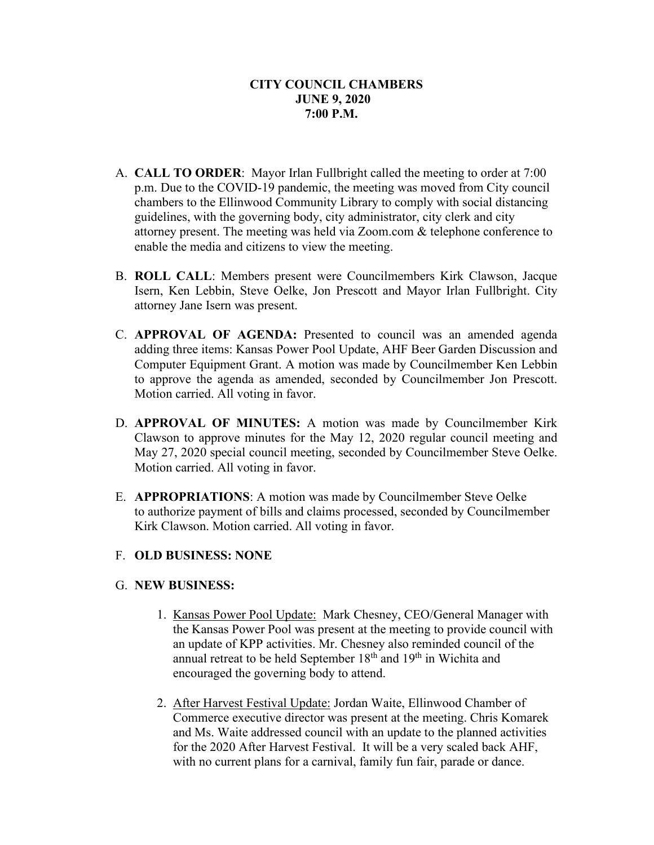- A. **CALL TO ORDER**: Mayor Irlan Fullbright called the meeting to order at 7:00 p.m. Due to the COVID-19 pandemic, the meeting was moved from City council chambers to the Ellinwood Community Library to comply with social distancing guidelines, with the governing body, city administrator, city clerk and city attorney present. The meeting was held via Zoom.com & telephone conference to enable the media and citizens to view the meeting.
- B. **ROLL CALL**: Members present were Councilmembers Kirk Clawson, Jacque Isern, Ken Lebbin, Steve Oelke, Jon Prescott and Mayor Irlan Fullbright. City attorney Jane Isern was present.
- C. **APPROVAL OF AGENDA:** Presented to council was an amended agenda adding three items: Kansas Power Pool Update, AHF Beer Garden Discussion and Computer Equipment Grant. A motion was made by Councilmember Ken Lebbin to approve the agenda as amended, seconded by Councilmember Jon Prescott. Motion carried. All voting in favor.
- D. **APPROVAL OF MINUTES:** A motion was made by Councilmember Kirk Clawson to approve minutes for the May 12, 2020 regular council meeting and May 27, 2020 special council meeting, seconded by Councilmember Steve Oelke. Motion carried. All voting in favor.
- E. **APPROPRIATIONS**: A motion was made by Councilmember Steve Oelke to authorize payment of bills and claims processed, seconded by Councilmember Kirk Clawson. Motion carried. All voting in favor.

# F. **OLD BUSINESS: NONE**

# G. **NEW BUSINESS:**

- 1. Kansas Power Pool Update: Mark Chesney, CEO/General Manager with the Kansas Power Pool was present at the meeting to provide council with an update of KPP activities. Mr. Chesney also reminded council of the annual retreat to be held September 18<sup>th</sup> and 19<sup>th</sup> in Wichita and encouraged the governing body to attend.
- 2. After Harvest Festival Update: Jordan Waite, Ellinwood Chamber of Commerce executive director was present at the meeting. Chris Komarek and Ms. Waite addressed council with an update to the planned activities for the 2020 After Harvest Festival. It will be a very scaled back AHF, with no current plans for a carnival, family fun fair, parade or dance.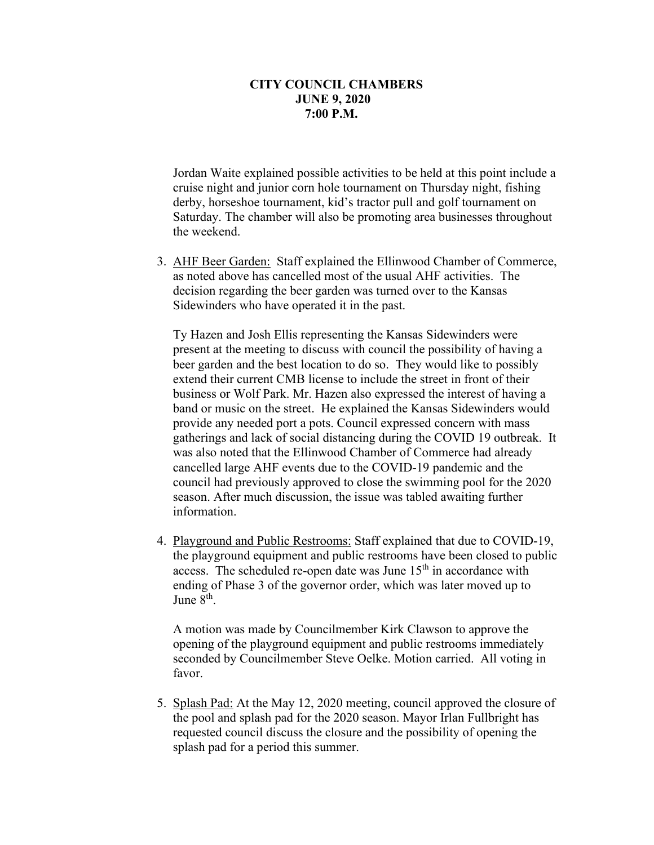Jordan Waite explained possible activities to be held at this point include a cruise night and junior corn hole tournament on Thursday night, fishing derby, horseshoe tournament, kid's tractor pull and golf tournament on Saturday. The chamber will also be promoting area businesses throughout the weekend.

3. AHF Beer Garden: Staff explained the Ellinwood Chamber of Commerce, as noted above has cancelled most of the usual AHF activities. The decision regarding the beer garden was turned over to the Kansas Sidewinders who have operated it in the past.

Ty Hazen and Josh Ellis representing the Kansas Sidewinders were present at the meeting to discuss with council the possibility of having a beer garden and the best location to do so. They would like to possibly extend their current CMB license to include the street in front of their business or Wolf Park. Mr. Hazen also expressed the interest of having a band or music on the street. He explained the Kansas Sidewinders would provide any needed port a pots. Council expressed concern with mass gatherings and lack of social distancing during the COVID 19 outbreak. It was also noted that the Ellinwood Chamber of Commerce had already cancelled large AHF events due to the COVID-19 pandemic and the council had previously approved to close the swimming pool for the 2020 season. After much discussion, the issue was tabled awaiting further information.

4. Playground and Public Restrooms: Staff explained that due to COVID-19, the playground equipment and public restrooms have been closed to public access. The scheduled re-open date was June 15<sup>th</sup> in accordance with ending of Phase 3 of the governor order, which was later moved up to June 8<sup>th</sup>.

A motion was made by Councilmember Kirk Clawson to approve the opening of the playground equipment and public restrooms immediately seconded by Councilmember Steve Oelke. Motion carried. All voting in favor.

 5. Splash Pad: At the May 12, 2020 meeting, council approved the closure of the pool and splash pad for the 2020 season. Mayor Irlan Fullbright has requested council discuss the closure and the possibility of opening the splash pad for a period this summer.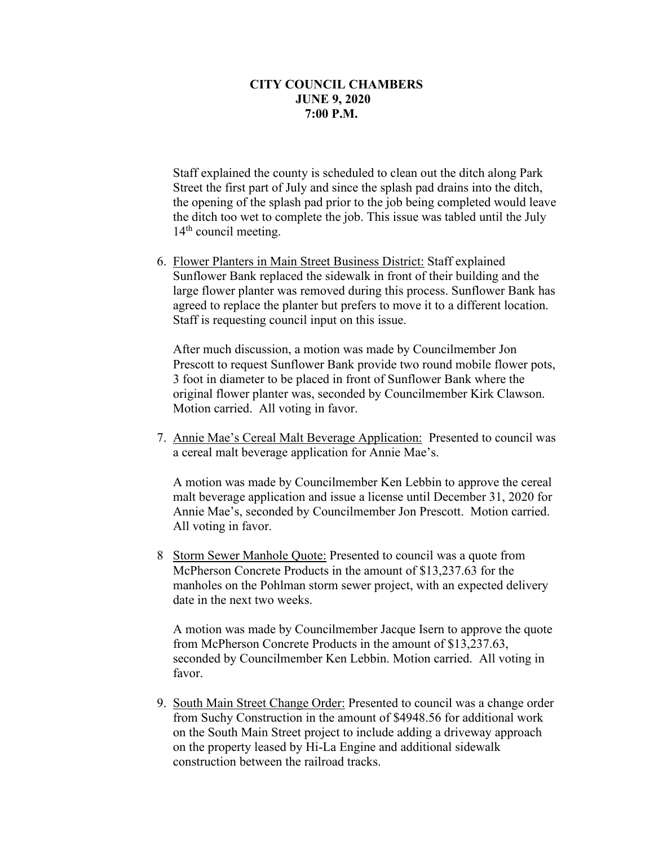Staff explained the county is scheduled to clean out the ditch along Park Street the first part of July and since the splash pad drains into the ditch, the opening of the splash pad prior to the job being completed would leave the ditch too wet to complete the job. This issue was tabled until the July  $14<sup>th</sup>$  council meeting.

6. Flower Planters in Main Street Business District: Staff explained Sunflower Bank replaced the sidewalk in front of their building and the large flower planter was removed during this process. Sunflower Bank has agreed to replace the planter but prefers to move it to a different location. Staff is requesting council input on this issue.

After much discussion, a motion was made by Councilmember Jon Prescott to request Sunflower Bank provide two round mobile flower pots, 3 foot in diameter to be placed in front of Sunflower Bank where the original flower planter was, seconded by Councilmember Kirk Clawson. Motion carried. All voting in favor.

7. Annie Mae's Cereal Malt Beverage Application: Presented to council was a cereal malt beverage application for Annie Mae's.

A motion was made by Councilmember Ken Lebbin to approve the cereal malt beverage application and issue a license until December 31, 2020 for Annie Mae's, seconded by Councilmember Jon Prescott. Motion carried. All voting in favor.

8 Storm Sewer Manhole Quote: Presented to council was a quote from McPherson Concrete Products in the amount of \$13,237.63 for the manholes on the Pohlman storm sewer project, with an expected delivery date in the next two weeks.

A motion was made by Councilmember Jacque Isern to approve the quote from McPherson Concrete Products in the amount of \$13,237.63, seconded by Councilmember Ken Lebbin. Motion carried. All voting in favor.

9. South Main Street Change Order: Presented to council was a change order from Suchy Construction in the amount of \$4948.56 for additional work on the South Main Street project to include adding a driveway approach on the property leased by Hi-La Engine and additional sidewalk construction between the railroad tracks.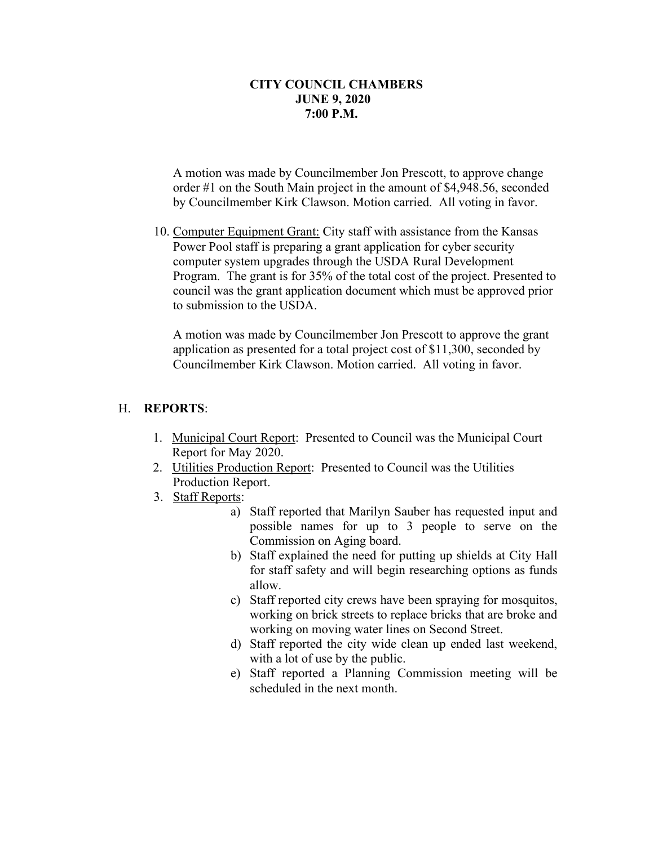A motion was made by Councilmember Jon Prescott, to approve change order #1 on the South Main project in the amount of \$4,948.56, seconded by Councilmember Kirk Clawson. Motion carried. All voting in favor.

 10. Computer Equipment Grant: City staff with assistance from the Kansas Power Pool staff is preparing a grant application for cyber security computer system upgrades through the USDA Rural Development Program. The grant is for 35% of the total cost of the project. Presented to council was the grant application document which must be approved prior to submission to the USDA.

A motion was made by Councilmember Jon Prescott to approve the grant application as presented for a total project cost of \$11,300, seconded by Councilmember Kirk Clawson. Motion carried. All voting in favor.

#### H. **REPORTS**:

- 1. Municipal Court Report: Presented to Council was the Municipal Court Report for May 2020.
- 2. Utilities Production Report: Presented to Council was the Utilities Production Report.
- 3. Staff Reports:
	- a) Staff reported that Marilyn Sauber has requested input and possible names for up to 3 people to serve on the Commission on Aging board.
	- b) Staff explained the need for putting up shields at City Hall for staff safety and will begin researching options as funds allow.
	- c) Staff reported city crews have been spraying for mosquitos, working on brick streets to replace bricks that are broke and working on moving water lines on Second Street.
	- d) Staff reported the city wide clean up ended last weekend, with a lot of use by the public.
	- e) Staff reported a Planning Commission meeting will be scheduled in the next month.